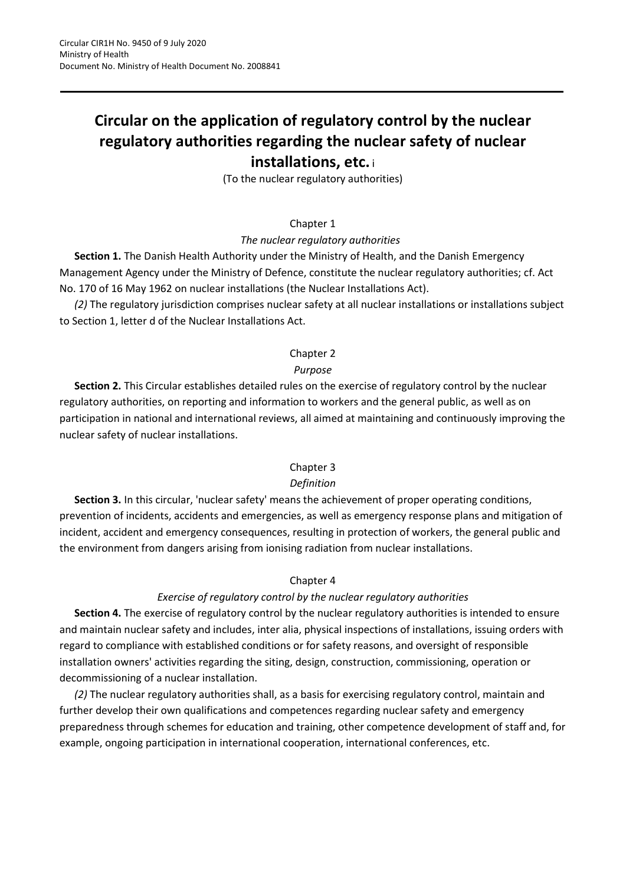# Circular on the application of regulatory control by the nuclear regulatory authorities regarding the nuclear safety of nuclear installations, etc.<sup>i</sup>

(To the nuclear regulatory authorities)

## Chapter 1

## The nuclear regulatory authorities

Section 1. The Danish Health Authority under the Ministry of Health, and the Danish Emergency Management Agency under the Ministry of Defence, constitute the nuclear regulatory authorities; cf. Act No. 170 of 16 May 1962 on nuclear installations (the Nuclear Installations Act).

(2) The regulatory jurisdiction comprises nuclear safety at all nuclear installations or installations subject to Section 1, letter d of the Nuclear Installations Act.

## Chapter 2

# Purpose

 Section 2. This Circular establishes detailed rules on the exercise of regulatory control by the nuclear regulatory authorities, on reporting and information to workers and the general public, as well as on participation in national and international reviews, all aimed at maintaining and continuously improving the nuclear safety of nuclear installations.

## Chapter 3

# Definition

Section 3. In this circular, 'nuclear safety' means the achievement of proper operating conditions, prevention of incidents, accidents and emergencies, as well as emergency response plans and mitigation of incident, accident and emergency consequences, resulting in protection of workers, the general public and the environment from dangers arising from ionising radiation from nuclear installations.

## Chapter 4

## Exercise of regulatory control by the nuclear regulatory authorities

Section 4. The exercise of regulatory control by the nuclear regulatory authorities is intended to ensure and maintain nuclear safety and includes, inter alia, physical inspections of installations, issuing orders with regard to compliance with established conditions or for safety reasons, and oversight of responsible installation owners' activities regarding the siting, design, construction, commissioning, operation or decommissioning of a nuclear installation.

(2) The nuclear regulatory authorities shall, as a basis for exercising regulatory control, maintain and further develop their own qualifications and competences regarding nuclear safety and emergency preparedness through schemes for education and training, other competence development of staff and, for example, ongoing participation in international cooperation, international conferences, etc.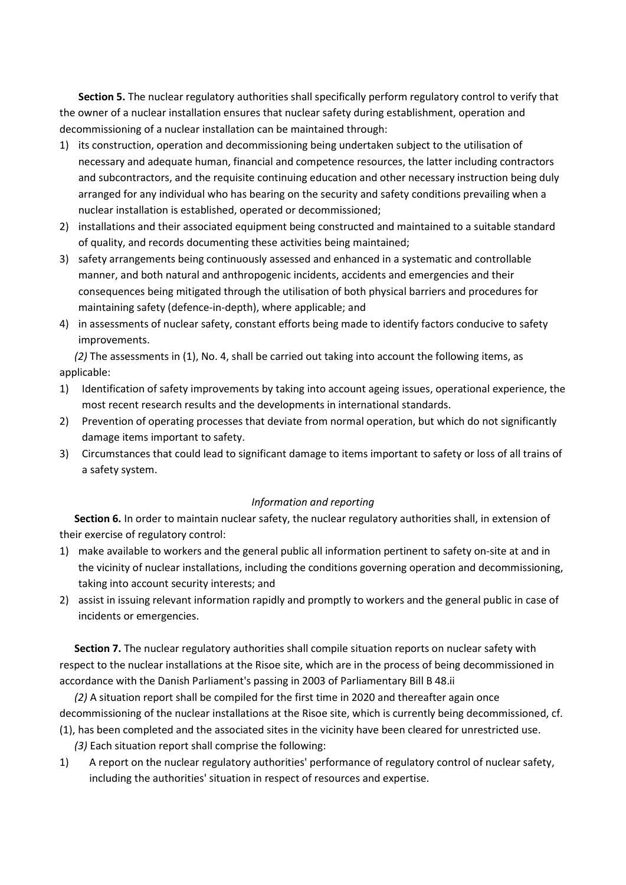Section 5. The nuclear regulatory authorities shall specifically perform regulatory control to verify that the owner of a nuclear installation ensures that nuclear safety during establishment, operation and decommissioning of a nuclear installation can be maintained through:

- 1) its construction, operation and decommissioning being undertaken subject to the utilisation of necessary and adequate human, financial and competence resources, the latter including contractors and subcontractors, and the requisite continuing education and other necessary instruction being duly arranged for any individual who has bearing on the security and safety conditions prevailing when a nuclear installation is established, operated or decommissioned;
- 2) installations and their associated equipment being constructed and maintained to a suitable standard of quality, and records documenting these activities being maintained;
- 3) safety arrangements being continuously assessed and enhanced in a systematic and controllable manner, and both natural and anthropogenic incidents, accidents and emergencies and their consequences being mitigated through the utilisation of both physical barriers and procedures for maintaining safety (defence-in-depth), where applicable; and
- 4) in assessments of nuclear safety, constant efforts being made to identify factors conducive to safety improvements.

(2) The assessments in (1), No. 4, shall be carried out taking into account the following items, as applicable:

- 1) Identification of safety improvements by taking into account ageing issues, operational experience, the most recent research results and the developments in international standards.
- 2) Prevention of operating processes that deviate from normal operation, but which do not significantly damage items important to safety.
- 3) Circumstances that could lead to significant damage to items important to safety or loss of all trains of a safety system.

## Information and reporting

Section 6. In order to maintain nuclear safety, the nuclear regulatory authorities shall, in extension of their exercise of regulatory control:

- 1) make available to workers and the general public all information pertinent to safety on-site at and in the vicinity of nuclear installations, including the conditions governing operation and decommissioning, taking into account security interests; and
- 2) assist in issuing relevant information rapidly and promptly to workers and the general public in case of incidents or emergencies.

Section 7. The nuclear regulatory authorities shall compile situation reports on nuclear safety with respect to the nuclear installations at the Risoe site, which are in the process of being decommissioned in accordance with the Danish Parliament's passing in 2003 of Parliamentary Bill B 48.ii

(2) A situation report shall be compiled for the first time in 2020 and thereafter again once decommissioning of the nuclear installations at the Risoe site, which is currently being decommissioned, cf.

- (1), has been completed and the associated sites in the vicinity have been cleared for unrestricted use. (3) Each situation report shall comprise the following:
- 1) A report on the nuclear regulatory authorities' performance of regulatory control of nuclear safety, including the authorities' situation in respect of resources and expertise.